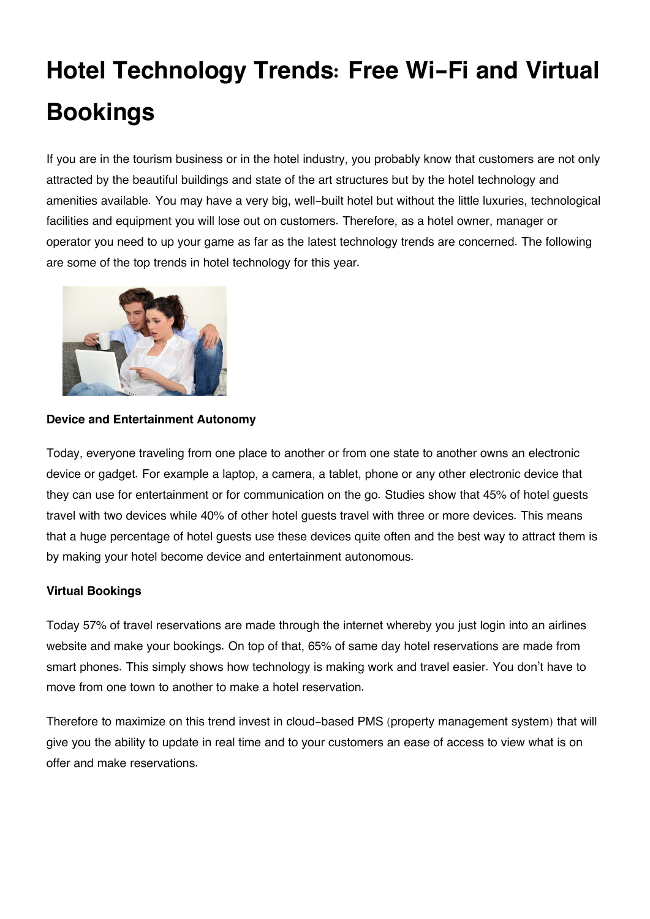# **Hotel Technology Trends: Free Wi-Fi and Virtual Bookings**

If you are in the tourism business or in the hotel industry, you probably know that customers are not only attracted by the beautiful buildings and state of the art structures but by the hotel technology and amenities available. You may have a very big, well-built hotel but without the little luxuries, technological facilities and equipment you will lose out on customers. Therefore, as a hotel owner, manager or operator you need to up your game as far as the latest technology trends are concerned. The following are some of the top trends in hotel technology for this year.



#### **Device and Entertainment Autonomy**

Today, everyone traveling from one place to another or from one state to another owns an electronic device or gadget. For example a laptop, a camera, a tablet, phone or any other electronic device that they can use for entertainment or for communication on the go. Studies show that 45% of hotel guests travel with two devices while 40% of other hotel guests travel with three or more devices. This means that a huge percentage of hotel guests use these devices quite often and the best way to attract them is by making your hotel become device and entertainment autonomous.

## **Virtual Bookings**

Today 57% of travel reservations are made through the internet whereby you just login into an airlines website and make your bookings. On top of that, 65% of same day hotel reservations are made from smart phones. This simply shows how technology is making work and travel easier. You don't have to move from one town to another to make a hotel reservation.

Therefore to maximize on this trend invest in cloud-based PMS (property management system) that will give you the ability to update in real time and to your customers an ease of access to view what is on offer and make reservations.